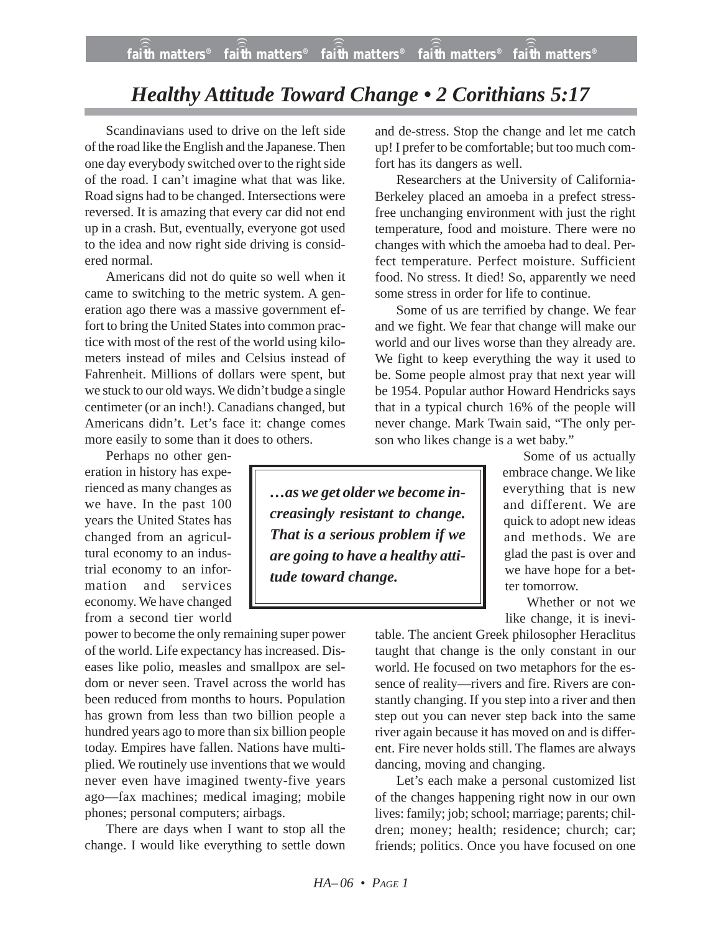## *Healthy Attitude Toward Change • 2 Corithians 5:17*

Scandinavians used to drive on the left side of the road like the English and the Japanese. Then one day everybody switched over to the right side of the road. I can't imagine what that was like. Road signs had to be changed. Intersections were reversed. It is amazing that every car did not end up in a crash. But, eventually, everyone got used to the idea and now right side driving is considered normal.

Americans did not do quite so well when it came to switching to the metric system. A generation ago there was a massive government effort to bring the United States into common practice with most of the rest of the world using kilometers instead of miles and Celsius instead of Fahrenheit. Millions of dollars were spent, but we stuck to our old ways. We didn't budge a single centimeter (or an inch!). Canadians changed, but Americans didn't. Let's face it: change comes more easily to some than it does to others.

Perhaps no other gen-

eration in history has experienced as many changes as we have. In the past 100 years the United States has changed from an agricultural economy to an industrial economy to an information and services economy. We have changed from a second tier world

power to become the only remaining super power of the world. Life expectancy has increased. Diseases like polio, measles and smallpox are seldom or never seen. Travel across the world has been reduced from months to hours. Population has grown from less than two billion people a hundred years ago to more than six billion people today. Empires have fallen. Nations have multiplied. We routinely use inventions that we would never even have imagined twenty-five years ago—fax machines; medical imaging; mobile phones; personal computers; airbags.

There are days when I want to stop all the change. I would like everything to settle down and de-stress. Stop the change and let me catch up! I prefer to be comfortable; but too much comfort has its dangers as well.

Researchers at the University of California-Berkeley placed an amoeba in a prefect stressfree unchanging environment with just the right temperature, food and moisture. There were no changes with which the amoeba had to deal. Perfect temperature. Perfect moisture. Sufficient food. No stress. It died! So, apparently we need some stress in order for life to continue.

Some of us are terrified by change. We fear and we fight. We fear that change will make our world and our lives worse than they already are. We fight to keep everything the way it used to be. Some people almost pray that next year will be 1954. Popular author Howard Hendricks says that in a typical church 16% of the people will never change. Mark Twain said, "The only person who likes change is a wet baby."

*…as we get older we become increasingly resistant to change. That is a serious problem if we are going to have a healthy attitude toward change.*

Some of us actually embrace change. We like everything that is new and different. We are quick to adopt new ideas and methods. We are glad the past is over and we have hope for a better tomorrow.

Whether or not we like change, it is inevi-

table. The ancient Greek philosopher Heraclitus taught that change is the only constant in our world. He focused on two metaphors for the essence of reality—rivers and fire. Rivers are constantly changing. If you step into a river and then step out you can never step back into the same river again because it has moved on and is different. Fire never holds still. The flames are always dancing, moving and changing.

Let's each make a personal customized list of the changes happening right now in our own lives: family; job; school; marriage; parents; children; money; health; residence; church; car; friends; politics. Once you have focused on one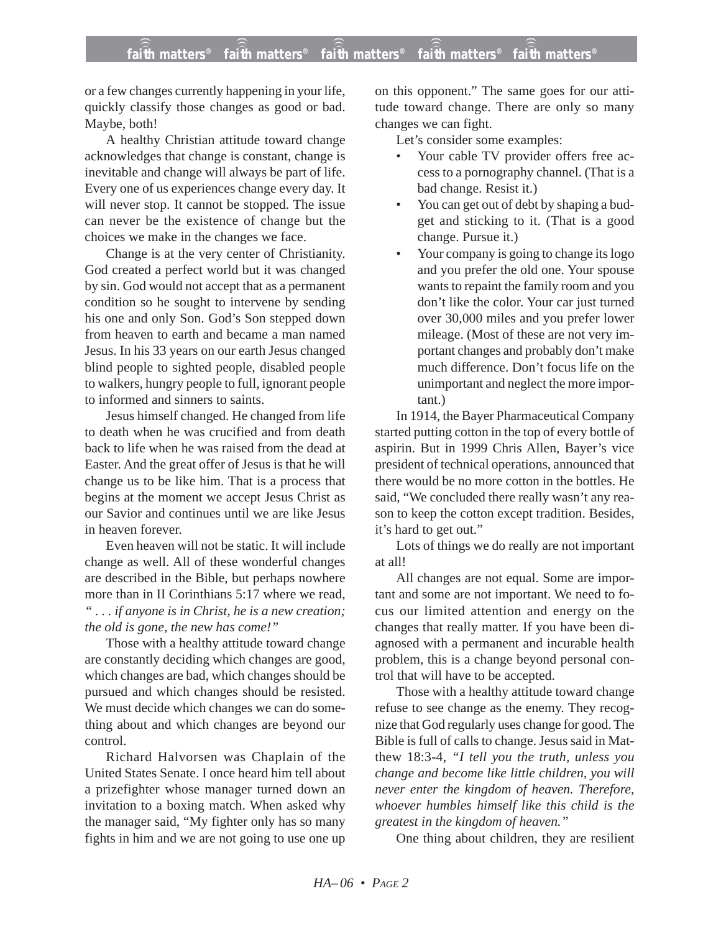## **faith matters® faith matters® faith matters® faith matters® faith matters®** ))) ))) ))) ))) )))

or a few changes currently happening in your life, quickly classify those changes as good or bad. Maybe, both!

A healthy Christian attitude toward change acknowledges that change is constant, change is inevitable and change will always be part of life. Every one of us experiences change every day. It will never stop. It cannot be stopped. The issue can never be the existence of change but the choices we make in the changes we face.

Change is at the very center of Christianity. God created a perfect world but it was changed by sin. God would not accept that as a permanent condition so he sought to intervene by sending his one and only Son. God's Son stepped down from heaven to earth and became a man named Jesus. In his 33 years on our earth Jesus changed blind people to sighted people, disabled people to walkers, hungry people to full, ignorant people to informed and sinners to saints.

Jesus himself changed. He changed from life to death when he was crucified and from death back to life when he was raised from the dead at Easter. And the great offer of Jesus is that he will change us to be like him. That is a process that begins at the moment we accept Jesus Christ as our Savior and continues until we are like Jesus in heaven forever.

Even heaven will not be static. It will include change as well. All of these wonderful changes are described in the Bible, but perhaps nowhere more than in II Corinthians 5:17 where we read, *" . . . if anyone is in Christ, he is a new creation; the old is gone, the new has come!"*

Those with a healthy attitude toward change are constantly deciding which changes are good, which changes are bad, which changes should be pursued and which changes should be resisted. We must decide which changes we can do something about and which changes are beyond our control.

Richard Halvorsen was Chaplain of the United States Senate. I once heard him tell about a prizefighter whose manager turned down an invitation to a boxing match. When asked why the manager said, "My fighter only has so many fights in him and we are not going to use one up on this opponent." The same goes for our attitude toward change. There are only so many changes we can fight.

Let's consider some examples:

- Your cable TV provider offers free access to a pornography channel. (That is a bad change. Resist it.)
- You can get out of debt by shaping a budget and sticking to it. (That is a good change. Pursue it.)
- Your company is going to change its logo and you prefer the old one. Your spouse wants to repaint the family room and you don't like the color. Your car just turned over 30,000 miles and you prefer lower mileage. (Most of these are not very important changes and probably don't make much difference. Don't focus life on the unimportant and neglect the more important.)

In 1914, the Bayer Pharmaceutical Company started putting cotton in the top of every bottle of aspirin. But in 1999 Chris Allen, Bayer's vice president of technical operations, announced that there would be no more cotton in the bottles. He said, "We concluded there really wasn't any reason to keep the cotton except tradition. Besides, it's hard to get out."

Lots of things we do really are not important at all!

All changes are not equal. Some are important and some are not important. We need to focus our limited attention and energy on the changes that really matter. If you have been diagnosed with a permanent and incurable health problem, this is a change beyond personal control that will have to be accepted.

Those with a healthy attitude toward change refuse to see change as the enemy. They recognize that God regularly uses change for good. The Bible is full of calls to change. Jesus said in Matthew 18:3-4, *"I tell you the truth, unless you change and become like little children, you will never enter the kingdom of heaven. Therefore, whoever humbles himself like this child is the greatest in the kingdom of heaven."*

One thing about children, they are resilient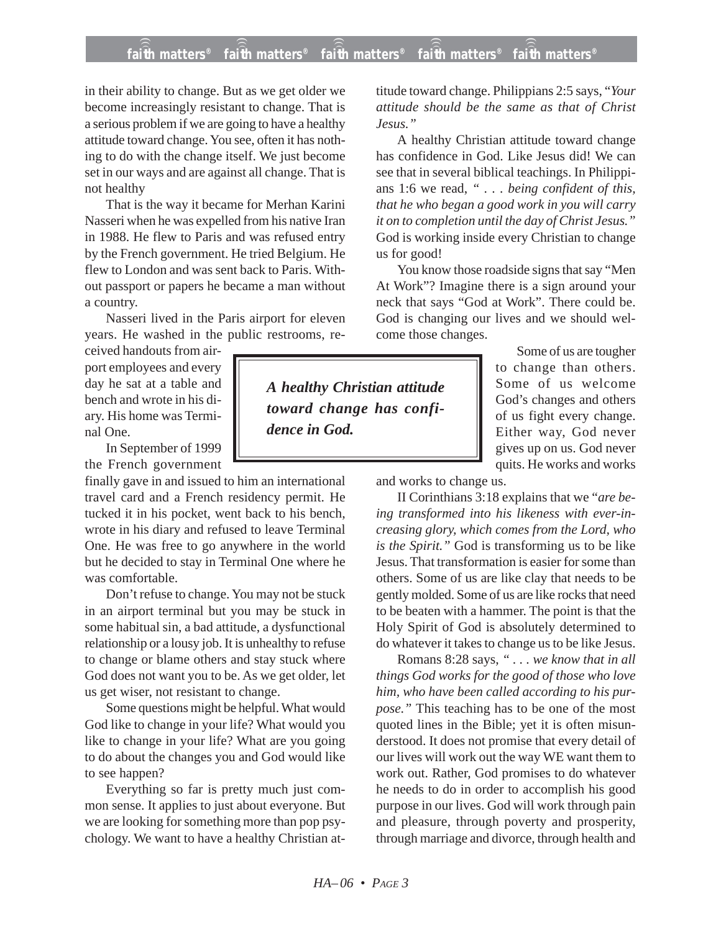## **faith matters® faith matters® faith matters® faith matters® faith matters®** ))) ))) ))) ))) )))

in their ability to change. But as we get older we become increasingly resistant to change. That is a serious problem if we are going to have a healthy attitude toward change. You see, often it has nothing to do with the change itself. We just become set in our ways and are against all change. That is not healthy

That is the way it became for Merhan Karini Nasseri when he was expelled from his native Iran in 1988. He flew to Paris and was refused entry by the French government. He tried Belgium. He flew to London and was sent back to Paris. Without passport or papers he became a man without a country.

Nasseri lived in the Paris airport for eleven years. He washed in the public restrooms, re-

ceived handouts from airport employees and every day he sat at a table and bench and wrote in his diary. His home was Terminal One.

In September of 1999 the French government

finally gave in and issued to him an international travel card and a French residency permit. He tucked it in his pocket, went back to his bench, wrote in his diary and refused to leave Terminal One. He was free to go anywhere in the world but he decided to stay in Terminal One where he was comfortable.

Don't refuse to change. You may not be stuck in an airport terminal but you may be stuck in some habitual sin, a bad attitude, a dysfunctional relationship or a lousy job. It is unhealthy to refuse to change or blame others and stay stuck where God does not want you to be. As we get older, let us get wiser, not resistant to change.

Some questions might be helpful. What would God like to change in your life? What would you like to change in your life? What are you going to do about the changes you and God would like to see happen?

Everything so far is pretty much just common sense. It applies to just about everyone. But we are looking for something more than pop psychology. We want to have a healthy Christian attitude toward change. Philippians 2:5 says, "*Your attitude should be the same as that of Christ Jesus."*

A healthy Christian attitude toward change has confidence in God. Like Jesus did! We can see that in several biblical teachings. In Philippians 1:6 we read, *" . . . being confident of this, that he who began a good work in you will carry it on to completion until the day of Christ Jesus."* God is working inside every Christian to change us for good!

You know those roadside signs that say "Men At Work"? Imagine there is a sign around your neck that says "God at Work". There could be. God is changing our lives and we should welcome those changes.

*A healthy Christian attitude toward change has confidence in God.*

Some of us are tougher to change than others. Some of us welcome God's changes and others of us fight every change. Either way, God never gives up on us. God never quits. He works and works

and works to change us.

II Corinthians 3:18 explains that we "*are being transformed into his likeness with ever-increasing glory, which comes from the Lord, who is the Spirit."* God is transforming us to be like Jesus. That transformation is easier for some than others. Some of us are like clay that needs to be gently molded. Some of us are like rocks that need to be beaten with a hammer. The point is that the Holy Spirit of God is absolutely determined to do whatever it takes to change us to be like Jesus.

Romans 8:28 says, *" . . . we know that in all things God works for the good of those who love him, who have been called according to his purpose."* This teaching has to be one of the most quoted lines in the Bible; yet it is often misunderstood. It does not promise that every detail of our lives will work out the way WE want them to work out. Rather, God promises to do whatever he needs to do in order to accomplish his good purpose in our lives. God will work through pain and pleasure, through poverty and prosperity, through marriage and divorce, through health and